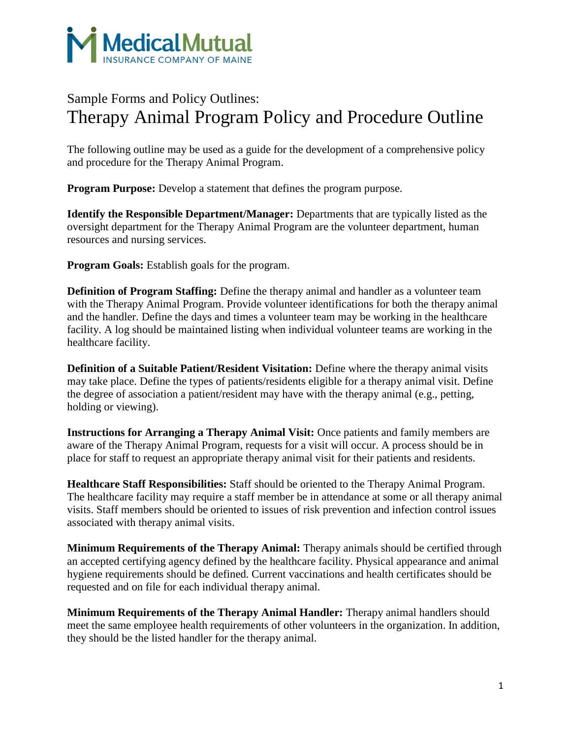

## Sample Forms and Policy Outlines: Therapy Animal Program Policy and Procedure Outline

The following outline may be used as a guide for the development of a comprehensive policy and procedure for the Therapy Animal Program.

**Program Purpose:** Develop a statement that defines the program purpose.

**Identify the Responsible Department/Manager:** Departments that are typically listed as the oversight department for the Therapy Animal Program are the volunteer department, human resources and nursing services.

**Program Goals:** Establish goals for the program.

**Definition of Program Staffing:** Define the therapy animal and handler as a volunteer team with the Therapy Animal Program. Provide volunteer identifications for both the therapy animal and the handler. Define the days and times a volunteer team may be working in the healthcare facility. A log should be maintained listing when individual volunteer teams are working in the healthcare facility.

**Definition of a Suitable Patient/Resident Visitation:** Define where the therapy animal visits may take place. Define the types of patients/residents eligible for a therapy animal visit. Define the degree of association a patient/resident may have with the therapy animal (e.g., petting, holding or viewing).

**Instructions for Arranging a Therapy Animal Visit:** Once patients and family members are aware of the Therapy Animal Program, requests for a visit will occur. A process should be in place for staff to request an appropriate therapy animal visit for their patients and residents.

**Healthcare Staff Responsibilities:** Staff should be oriented to the Therapy Animal Program. The healthcare facility may require a staff member be in attendance at some or all therapy animal visits. Staff members should be oriented to issues of risk prevention and infection control issues associated with therapy animal visits.

**Minimum Requirements of the Therapy Animal:** Therapy animals should be certified through an accepted certifying agency defined by the healthcare facility. Physical appearance and animal hygiene requirements should be defined. Current vaccinations and health certificates should be requested and on file for each individual therapy animal.

**Minimum Requirements of the Therapy Animal Handler:** Therapy animal handlers should meet the same employee health requirements of other volunteers in the organization. In addition, they should be the listed handler for the therapy animal.